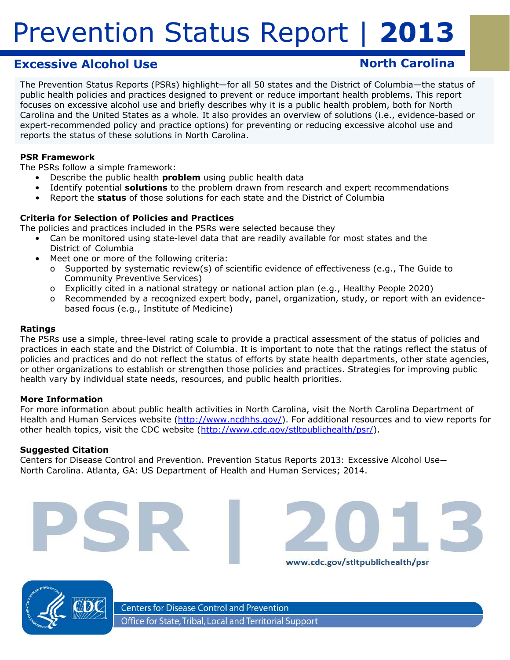# **Excessive Alcohol Use North Carolina**

The Prevention Status Reports (PSRs) highlight—for all 50 states and the District of Columbia—the status of public health policies and practices designed to prevent or reduce important health problems. This report focuses on excessive alcohol use and briefly describes why it is a public health problem, both for North Carolina and the United States as a whole. It also provides an overview of solutions (i.e., evidence-based or expert-recommended policy and practice options) for preventing or reducing excessive alcohol use and reports the status of these solutions in North Carolina.

#### **PSR Framework**

The PSRs follow a simple framework:

- Describe the public health *problem* using public health data
	- Identify potential *solutions* to the problem drawn from research and expert recommendations
- • Report the *status* of those solutions for each state and the District of Columbia

#### **Criteria for Selection of Policies and Practices**

The policies and practices included in the PSRs were selected because they

- Can be monitored using state-level data that are readily available for most states and the District of Columbia
	- Meet one or more of the following criteria:
		- o Supported by systematic review(s) of scientific evidence of effectiveness (e.g., *The Guide to Community Preventive Services*)
		- o Explicitly cited in a national strategy or national action plan (e.g., *Healthy People 2020*)
		- o Recommended by a recognized expert body, panel, organization, study, or report with an evidencebased focus (e.g., Institute of Medicine)

#### **Ratings**

The PSRs use a simple, three-level rating scale to provide a practical assessment of the status of policies and practices in each state and the District of Columbia. It is important to note that the ratings reflect the *status of policies and practices* and do not reflect the *status of efforts* by state health departments, other state agencies, or other organizations to establish or strengthen those policies and practices. Strategies for improving public health vary by individual state needs, resources, and public health priorities.

#### **More Information**

For more information about public health activities in North Carolina, visit the North Carolina Department of Health and Human Services website ([http://www.ncdhhs.gov/](http://www.ncdhhs.gov)). For additional resources and to view reports for other health topics, visit the CDC website (http://www.cdc.gov/stltpublichealth/psr/).

www.cdc.gov/stltpublichealth/psr

#### **Suggested Citation**

Centers for Disease Control and Prevention. *Prevention Status Reports 2013: Excessive Alcohol Use— North Carolina*. Atlanta, GA: US Department of Health and Human Services; 2014.



**Centers for Disease Control and Prevention** Office for State, Tribal, Local and Territorial Support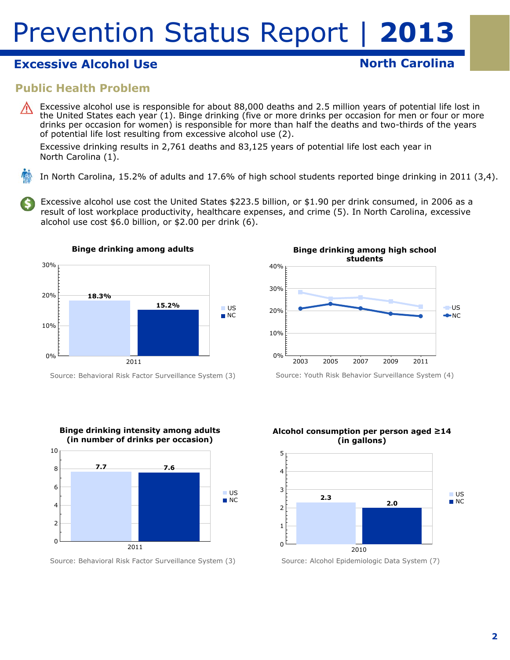# **Excessive Alcohol Use North Carolina**

### **Public Health Problem**

Excessive alcohol use is responsible for about 88,000 deaths and 2.5 million years of potential life lost in the United States each year (1). Binge drinking (five or more drinks per occasion for men or four or more drinks per occasion for women) is responsible for more than half the deaths and two-thirds of the years of potential life lost resulting from excessive alcohol use (2).

Excessive drinking results in 2,761 deaths and 83,125 years of potential life lost each year in North Carolina (1).

In North Carolina, 15.2% of adults and 17.6% of high school students reported binge drinking in 2011 (3,4).

Excessive alcohol use cost the United States \$223.5 billion, or \$1.90 per drink consumed, in 2006 as a result of lost workplace productivity, healthcare expenses, and crime (5). In North Carolina, excessive alcohol use cost \$6.0 billion, or \$2.00 per drink (6).



Source: Behavioral Risk Factor Surveillance System (3)



Source: Behavioral Risk Factor Surveillance System (3)



Source: Youth Risk Behavior Surveillance System (4)



Source: Alcohol Epidemiologic Data System (7)

#### **2**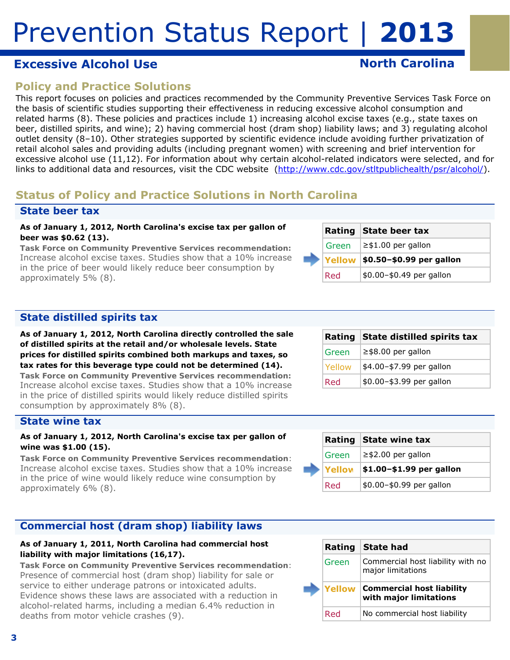## **Excessive Alcohol Use North Carolina**

# **Policy and Practice Solutions**

This report focuses on policies and practices recommended by the Community Preventive Services Task Force on the basis of scientific studies supporting their effectiveness in reducing excessive alcohol consumption and related harms (8). These policies and practices include 1) increasing alcohol excise taxes (e.g., state taxes on beer, distilled spirits, and wine); 2) having commercial host (dram shop) liability laws; and 3) regulating alcohol outlet density (8–10). Other strategies supported by scientific evidence include avoiding further privatization of retail alcohol sales and providing adults (including pregnant women) with screening and brief intervention for excessive alcohol use (11,12). For information about why certain alcohol-related indicators were selected, and for links to additional data and resources, visit the CDC website (http://www.cdc.gov/stltpublichealth/psr/alcohol/).

## **Status of Policy and Practice Solutions in North Carolina**

### **State beer tax**

#### **As of January 1, 2012, North Carolina's excise tax per gallon of beer was \$0.62 (13).**

*Task Force on Community Preventive Services recommendation:*  Increase alcohol excise taxes. Studies show that a 10% increase in the price of beer would likely reduce beer consumption by approximately 5% (8).

|       | Rating State beer tax                           |
|-------|-------------------------------------------------|
| Green | $\ge$ \$1.00 per gallon                         |
|       | $\vert$ Yellow $\vert$ \$0.50-\$0.99 per gallon |
| Red   | \$0.00-\$0.49 per gallon                        |

### **State distilled spirits tax**

**As of January 1, 2012, North Carolina directly controlled the sale of distilled spirits at the retail and/or wholesale levels. State prices for distilled spirits combined both markups and taxes, so tax rates for this beverage type could not be determined (14).** 

*Task Force on Community Preventive Services recommendation:*  Increase alcohol excise taxes. Studies show that a 10% increase in the price of distilled spirits would likely reduce distilled spirits consumption by approximately 8% (8).

#### **State wine tax**

#### **As of January 1, 2012, North Carolina's excise tax per gallon of wine was \$1.00 (15).**

*Task Force on Community Preventive Services recommendation*: Increase alcohol excise taxes. Studies show that a 10% increase in the price of wine would likely reduce wine consumption by approximately 6% (8).

### **Commercial host (dram shop) liability laws**

#### **As of January 1, 2011, North Carolina had commercial host liability with major limitations (16,17).**

*Task Force on Community Preventive Services recommendation*: Presence of commercial host (dram shop) liability for sale or service to either underage patrons or intoxicated adults. Evidence shows these laws are associated with a reduction in alcohol-related harms, including a median 6.4% reduction in deaths from motor vehicle crashes (9).

|                | Rating State distilled spirits tax |
|----------------|------------------------------------|
| Green          | $\ge$ \$8.00 per gallon            |
| <b>TYellow</b> | \$4.00-\$7.99 per gallon           |
| Red            | \$0.00-\$3.99 per gallon           |

|  |        | Rating State wine tax    |
|--|--------|--------------------------|
|  | Green  | $\ge$ \$2.00 per gallon  |
|  | Yellow | \$1.00-\$1.99 per gallon |
|  | Red    | \$0.00-\$0.99 per gallon |

|       | Rating State had                                                  |
|-------|-------------------------------------------------------------------|
| Green | Commercial host liability with no<br>major limitations            |
|       |                                                                   |
|       | <b>Yellow Commercial host liability</b><br>with major limitations |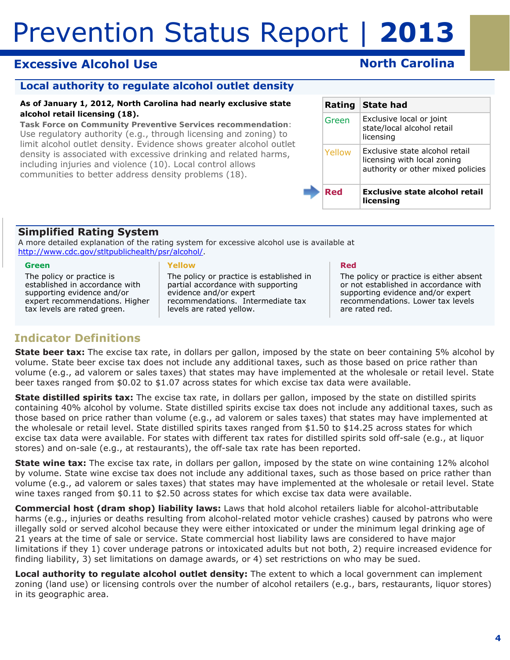# **Excessive Alcohol Use North Carolina**

### **Local authority to regulate alcohol outlet density**

#### **As of January 1, 2012, North Carolina had nearly exclusive state alcohol retail licensing (18).**

*Task Force on Community Preventive Services recommendation*: Use regulatory authority (e.g., through licensing and zoning) to limit alcohol outlet density. Evidence shows greater alcohol outlet density is associated with excessive drinking and related harms, including injuries and violence (10). Local control allows communities to better address density problems (18).

| Rating | <b>State had</b>                                                                                   |
|--------|----------------------------------------------------------------------------------------------------|
| Green  | Exclusive local or joint<br>state/local alcohol retail<br>licensing                                |
| Yellow | Exclusive state alcohol retail<br>licensing with local zoning<br>authority or other mixed policies |
| Red    | Exclusive state alcohol retail<br>licensina                                                        |

### **Simplified Rating System**

A more detailed explanation of the rating system for excessive alcohol use is available at http://www.cdc.gov/stltpublichealth/psr/alcohol/.

#### **Green**

The policy or practice is established in accordance with supporting evidence and/or expert recommendations. Higher tax levels are rated green.

#### **Yellow**

The policy or practice is established in partial accordance with supporting evidence and/or expert recommendations. Intermediate tax levels are rated yellow.

#### **Red**

The policy or practice is either absent or not established in accordance with supporting evidence and/or expert recommendations. Lower tax levels are rated red.

# **Indicator Definitions**

**State beer tax:** The excise tax rate, in dollars per gallon, imposed by the state on beer containing 5% alcohol by volume. State beer excise tax does not include any additional taxes, such as those based on price rather than volume (e.g., ad valorem or sales taxes) that states may have implemented at the wholesale or retail level. State beer taxes ranged from \$0.02 to \$1.07 across states for which excise tax data were available.

**State distilled spirits tax:** The excise tax rate, in dollars per gallon, imposed by the state on distilled spirits containing 40% alcohol by volume. State distilled spirits excise tax does not include any additional taxes, such as those based on price rather than volume (e.g., ad valorem or sales taxes) that states may have implemented at the wholesale or retail level. State distilled spirits taxes ranged from \$1.50 to \$14.25 across states for which excise tax data were available. For states with different tax rates for distilled spirits sold off-sale (e.g., at liquor stores) and on-sale (e.g., at restaurants), the off-sale tax rate has been reported.

**State wine tax:** The excise tax rate, in dollars per gallon, imposed by the state on wine containing 12% alcohol by volume. State wine excise tax does not include any additional taxes, such as those based on price rather than volume (e.g., ad valorem or sales taxes) that states may have implemented at the wholesale or retail level. State wine taxes ranged from \$0.11 to \$2.50 across states for which excise tax data were available.

**Commercial host (dram shop) liability laws:** Laws that hold alcohol retailers liable for alcohol-attributable harms (e.g., injuries or deaths resulting from alcohol-related motor vehicle crashes) caused by patrons who were illegally sold or served alcohol because they were either intoxicated or under the minimum legal drinking age of 21 years at the time of sale or service. State commercial host liability laws are considered to have major limitations if they 1) cover underage patrons or intoxicated adults but not both, 2) require increased evidence for finding liability, 3) set limitations on damage awards, or 4) set restrictions on who may be sued.

 in its geographic area. **Local authority to regulate alcohol outlet density:** The extent to which a local government can implement zoning (land use) or licensing controls over the number of alcohol retailers (e.g., bars, restaurants, liquor stores)